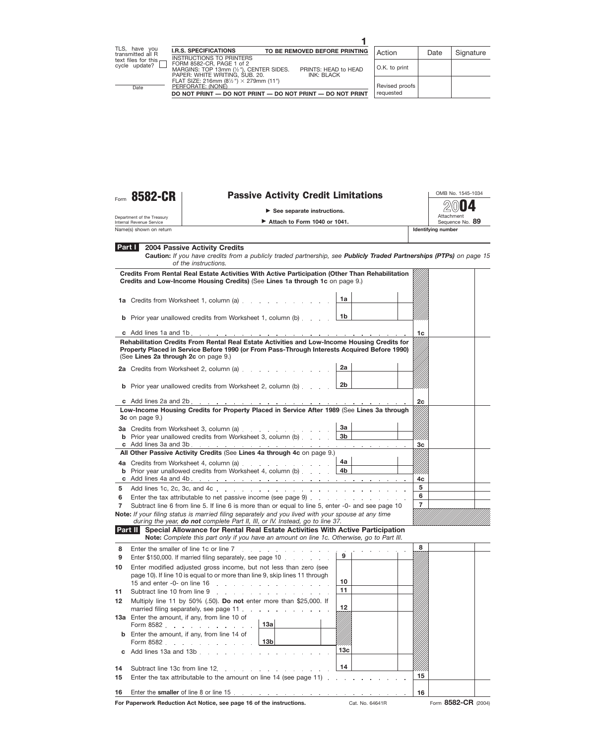

## Form 8582-CR | Passive Activity Credit Limitations

**See separate instructions.**

Department of the Treasury Internal Revenue Service

**Attach to Form 1040 or 1041.** 

OMB No. 1545-1034 Attachment<br>Sequence No. 89 **2004**

Name(s) shown on return **Identifying number Identifying number Identifying number** 

| . .<br>. . |  |  |  |  |
|------------|--|--|--|--|
|            |  |  |  |  |
|            |  |  |  |  |
|            |  |  |  |  |
|            |  |  |  |  |
|            |  |  |  |  |
|            |  |  |  |  |

|  | <b>Part 2004 Passive Activity Credits</b> |
|--|-------------------------------------------|
|--|-------------------------------------------|

**Caution:** *If you have credits from a publicly traded partnership, see Publicly Traded Partnerships (PTPs) on page 15 of the instructions.*

|        | Credits From Rental Real Estate Activities With Active Participation (Other Than Rehabilitation<br>Credits and Low-Income Housing Credits) (See Lines 1a through 1c on page 9.)                                                      |                |  |                |  |
|--------|--------------------------------------------------------------------------------------------------------------------------------------------------------------------------------------------------------------------------------------|----------------|--|----------------|--|
|        | 1a Credits from Worksheet 1, column (a)                                                                                                                                                                                              | 1a             |  |                |  |
|        | <b>b</b> Prior year unallowed credits from Worksheet 1, column (b)                                                                                                                                                                   | 1b             |  |                |  |
|        |                                                                                                                                                                                                                                      |                |  | 1c             |  |
|        | Rehabilitation Credits From Rental Real Estate Activities and Low-Income Housing Credits for<br>Property Placed in Service Before 1990 (or From Pass-Through Interests Acquired Before 1990)<br>(See Lines 2a through 2c on page 9.) |                |  |                |  |
|        | 2a Credits from Worksheet 2, column (a)                                                                                                                                                                                              | 2a             |  |                |  |
|        | <b>b</b> Prior year unallowed credits from Worksheet 2, column (b)                                                                                                                                                                   | 2b             |  |                |  |
|        |                                                                                                                                                                                                                                      |                |  | 2c             |  |
|        | Low-Income Housing Credits for Property Placed in Service After 1989 (See Lines 3a through<br>3c on page 9.)                                                                                                                         |                |  |                |  |
|        | 3a Credits from Worksheet 3, column (a)                                                                                                                                                                                              | За             |  |                |  |
|        | <b>b</b> Prior year unallowed credits from Worksheet 3, column (b)                                                                                                                                                                   | 3 <sub>b</sub> |  | 3c             |  |
|        | All Other Passive Activity Credits (See Lines 4a through 4c on page 9.)                                                                                                                                                              |                |  |                |  |
|        | 4a Credits from Worksheet 4, column (a)                                                                                                                                                                                              | 4a l           |  |                |  |
|        | <b>b</b> Prior year unallowed credits from Worksheet 4, column (b) $\ldots$ $\begin{array}{ccc} \hline \end{array}$                                                                                                                  |                |  |                |  |
|        |                                                                                                                                                                                                                                      |                |  | 4c             |  |
| 5.     |                                                                                                                                                                                                                                      |                |  | 5<br>6         |  |
| 6<br>7 | Enter the tax attributable to net passive income (see page 9)<br>Subtract line 6 from line 5. If line 6 is more than or equal to line 5, enter -0- and see page 10                                                                   |                |  | $\overline{7}$ |  |
|        | Note: If your filing status is married filing separately and you lived with your spouse at any time                                                                                                                                  |                |  |                |  |
|        | during the year, do not complete Part II, III, or IV. Instead, go to line 37.                                                                                                                                                        |                |  |                |  |
|        | Part II Special Allowance for Rental Real Estate Activities With Active Participation<br>Note: Complete this part only if you have an amount on line 1c. Otherwise, go to Part III.                                                  |                |  |                |  |
| 8      | Enter the smaller of line 1c or line 7<br>.                                                                                                                                                                                          |                |  | 8              |  |
| 9      | Enter \$150,000. If married filing separately, see page 10                                                                                                                                                                           | 9              |  |                |  |
| 10     | Enter modified adjusted gross income, but not less than zero (see                                                                                                                                                                    |                |  |                |  |
|        | page 10). If line 10 is equal to or more than line 9, skip lines 11 through                                                                                                                                                          | 10             |  |                |  |
| 11     | Subtract line 10 from line 9                                                                                                                                                                                                         | 11             |  |                |  |
| 12     | Multiply line 11 by 50% (.50). Do not enter more than \$25,000. If                                                                                                                                                                   |                |  |                |  |
|        | married filing separately, see page 11                                                                                                                                                                                               | 12             |  |                |  |
|        | 13a Enter the amount, if any, from line 10 of                                                                                                                                                                                        |                |  |                |  |
|        | 13a<br>Form 8582                                                                                                                                                                                                                     |                |  |                |  |
|        | <b>b</b> Enter the amount, if any, from line 14 of<br>13 <sub>b</sub><br>Form 8582                                                                                                                                                   |                |  |                |  |

| c Add lines 13a and 13b $\ldots$ $\ldots$ $\ldots$ $\ldots$ $\ldots$ $\ldots$    | 13 <sub>c</sub> |  |  |  |
|----------------------------------------------------------------------------------|-----------------|--|--|--|
| 15 Enter the tax attributable to the amount on line 14 (see page 11) $\ldots$ 15 | ∣ 14            |  |  |  |
|                                                                                  |                 |  |  |  |

**For Paperwork Reduction Act Notice, see page 16 of the instructions.** Cat. No. 64641R Form 8582-CR (2004)